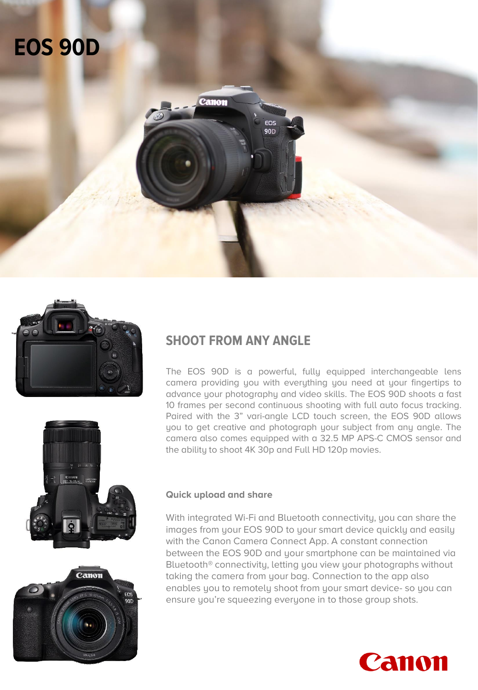# **EOS 90D**







### **SHOOT FROM ANY ANGLE**

Canon

The EOS 90D is a powerful, fully equipped interchangeable lens camera providing you with everything you need at your fingertips to advance your photography and video skills. The EOS 90D shoots a fast 10 frames per second continuous shooting with full auto focus tracking. Paired with the 3" vari-angle LCD touch screen, the EOS 90D allows you to get creative and photograph your subject from any angle. The camera also comes equipped with a 32.5 MP APS-C CMOS sensor and the ability to shoot 4K 30p and Full HD 120p movies.

### **Quick upload and share**

With integrated Wi-Fi and Bluetooth connectivity, you can share the images from your EOS 90D to your smart device quickly and easily with the Canon Camera Connect App. A constant connection between the EOS 90D and your smartphone can be maintained via Bluetooth® connectivity, letting you view your photographs without taking the camera from your bag. Connection to the app also enables you to remotely shoot from your smart device- so you can ensure you're squeezing everyone in to those group shots.

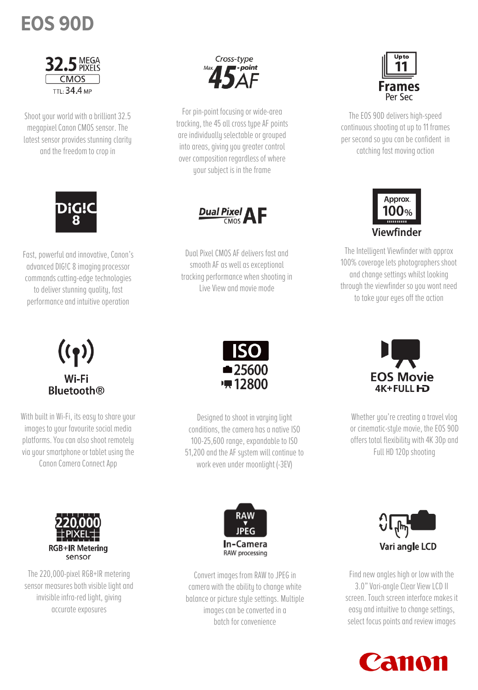# **EOS 90D**



Shoot your world with a brilliant 32.5 megapixel Canon CMOS sensor. The latest sensor provides stunning clarity and the freedom to crop in



Fast, powerful and innovative, Canon's advanced DIG!C 8 imaging processor commands cutting-edge technologies to deliver stunning quality, fast performance and intuitive operation



For pin-point focusing or wide-area tracking, the 45 all cross type AF points are individually selectable or grouped into areas, giving you greater control over composition regardless of where your subject is in the frame



Dual Pixel CMOS AF delivers fast and smooth AF as well as exceptional tracking performance when shooting in Live View and movie mode



The EOS 90D delivers high-speed continuous shooting at up to 11 frames per second so you can be confident in catching fast moving action



The Intelligent Viewfinder with approx 100% coverage lets photographers shoot and change settings whilst looking through the viewfinder so you wont need to take your eyes off the action

### $((\gamma))$ Wi-Fi **Bluetooth**<sup>®</sup>

With built in Wi-Fi, its easy to share your images to your favourite social media platforms. You can also shoot remotely via your smartphone or tablet using the Canon Camera Connect App

The 220,000-pixel RGB+IR metering sensor measures both visible light and invisible infra-red light, giving accurate exposures

**RGB+IR Metering** 

sensor



Designed to shoot in varying light conditions, the camera has a native ISO 100-25,600 range, expandable to ISO 51,200 and the AF system will continue to work even under moonlight (-3EV)

RAW

In-Camera

RAW processing



Whether you're creating a travel vlog or cinematic-style movie, the EOS 90D offers total flexibility with 4K 30p and Full HD 120p shooting



Convert images from RAW to JPEG in camera with the ability to change white balance or picture style settings. Multiple images can be converted in a batch for convenience



Find new angles high or low with the 3.0" Vari-angle Clear View LCD II screen. Touch screen interface makes it easy and intuitive to change settings, select focus points and review images

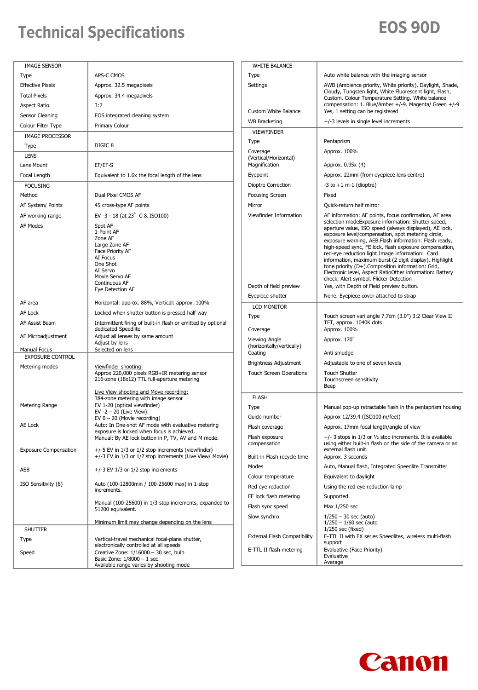# **Technical Specifications EOS 90D**

| <b>IMAGE SENSOR</b>          |                                                                                                                                                                  | <b>WHITE BALANCE</b>                 |                                                                                                                                                                                                                                                                                                                                                                                                                                                                                                                                                                                                             |
|------------------------------|------------------------------------------------------------------------------------------------------------------------------------------------------------------|--------------------------------------|-------------------------------------------------------------------------------------------------------------------------------------------------------------------------------------------------------------------------------------------------------------------------------------------------------------------------------------------------------------------------------------------------------------------------------------------------------------------------------------------------------------------------------------------------------------------------------------------------------------|
| Type                         | APS-C CMOS                                                                                                                                                       | Type                                 | Auto white balance with the imaging sensor                                                                                                                                                                                                                                                                                                                                                                                                                                                                                                                                                                  |
| <b>Effective Pixels</b>      | Approx. 32.5 megapixels                                                                                                                                          | Settings                             | AWB (Ambience priority, White priority), Daylight, Shade,                                                                                                                                                                                                                                                                                                                                                                                                                                                                                                                                                   |
| <b>Total Pixels</b>          | Approx. 34.4 megapixels                                                                                                                                          |                                      | Cloudy, Tungsten light, White Fluorescent light, Flash,<br>Custom, Colour Temperature Setting. White balance                                                                                                                                                                                                                                                                                                                                                                                                                                                                                                |
| <b>Aspect Ratio</b>          | 3:2                                                                                                                                                              | <b>Custom White Balance</b>          | compensation: 1. Blue/Amber +/-9. Magenta/ Green +/-9<br>Yes, 1 setting can be registered                                                                                                                                                                                                                                                                                                                                                                                                                                                                                                                   |
| Sensor Cleaning              | EOS integrated cleaning system                                                                                                                                   |                                      | +/-3 levels in single level increments                                                                                                                                                                                                                                                                                                                                                                                                                                                                                                                                                                      |
| Colour Filter Type           | Primary Colour                                                                                                                                                   | <b>WB Bracketing</b>                 |                                                                                                                                                                                                                                                                                                                                                                                                                                                                                                                                                                                                             |
| <b>IMAGE PROCESSOR</b>       |                                                                                                                                                                  | <b>VIEWFINDER</b>                    |                                                                                                                                                                                                                                                                                                                                                                                                                                                                                                                                                                                                             |
| Type                         | DIGIC <sub>8</sub>                                                                                                                                               | Type                                 | Pentaprism                                                                                                                                                                                                                                                                                                                                                                                                                                                                                                                                                                                                  |
| <b>LENS</b>                  |                                                                                                                                                                  | Coverage<br>(Vertical/Horizontal)    | Approx. 100%                                                                                                                                                                                                                                                                                                                                                                                                                                                                                                                                                                                                |
| Lens Mount                   | EF/EF-S                                                                                                                                                          | Magnification                        | Approx. 0.95x (4)                                                                                                                                                                                                                                                                                                                                                                                                                                                                                                                                                                                           |
| Focal Length                 | Equivalent to 1.6x the focal length of the lens                                                                                                                  | Eyepoint                             | Approx. 22mm (from eyepiece lens centre)                                                                                                                                                                                                                                                                                                                                                                                                                                                                                                                                                                    |
| <b>FOCUSING</b>              |                                                                                                                                                                  | Dioptre Correction                   | $-3$ to $+1$ m $-1$ (dioptre)                                                                                                                                                                                                                                                                                                                                                                                                                                                                                                                                                                               |
| Method                       | Dual Pixel CMOS AF                                                                                                                                               | <b>Focusing Screen</b>               | Fixed                                                                                                                                                                                                                                                                                                                                                                                                                                                                                                                                                                                                       |
| AF System/ Points            | 45 cross-type AF points                                                                                                                                          | Mirror                               | Quick-return half mirror                                                                                                                                                                                                                                                                                                                                                                                                                                                                                                                                                                                    |
| AF working range             | EV-3 - 18 (at 23° C & ISO100)                                                                                                                                    | Viewfinder Information               | AF information: AF points, focus confirmation, AF area                                                                                                                                                                                                                                                                                                                                                                                                                                                                                                                                                      |
| AF Modes                     | Spot AF<br>1-Point AF<br>Zone AF<br>Large Zone AF<br>Face Priority AF<br>AI Focus<br>One Shot<br>AI Servo<br>Movie Servo AF<br>Continuous AF<br>Eye Detection AF | Depth of field preview               | selection modeExposure information: Shutter speed,<br>aperture value, ISO speed (always displayed), AE lock,<br>exposure level/compensation, spot metering circle,<br>exposure warning, AEB.Flash information: Flash ready,<br>high-speed sync, FE lock, flash exposure compensation,<br>red-eye reduction light. Image information: Card<br>information, maximum burst (2 digit display), Highlight<br>tone priority (D+).Composition information: Grid,<br>Electronic level, Aspect RatioOther information: Battery<br>check, Alert symbol, Flicker Detection<br>Yes, with Depth of Field preview button. |
| AF area                      |                                                                                                                                                                  | Eyepiece shutter                     | None. Eyepiece cover attached to strap                                                                                                                                                                                                                                                                                                                                                                                                                                                                                                                                                                      |
| AF Lock                      | Horizontal: approx. 88%, Vertical: approx. 100%<br>Locked when shutter button is pressed half way                                                                | <b>LCD MONITOR</b>                   |                                                                                                                                                                                                                                                                                                                                                                                                                                                                                                                                                                                                             |
| AF Assist Beam               |                                                                                                                                                                  | Type                                 | Touch screen vari angle 7.7cm (3.0") 3:2 Clear View II<br>TFT, approx. 1040K dots                                                                                                                                                                                                                                                                                                                                                                                                                                                                                                                           |
|                              | Intermittent firing of built-in flash or emitted by optional<br>dedicated Speedlite                                                                              | Coverage                             | Approx. 100%                                                                                                                                                                                                                                                                                                                                                                                                                                                                                                                                                                                                |
| AF Microadjustment           | Adjust all lenses by same amount<br>Adjust by lens                                                                                                               | Viewing Angle                        | Approx. 170                                                                                                                                                                                                                                                                                                                                                                                                                                                                                                                                                                                                 |
| Manual Focus                 | Selected on lens                                                                                                                                                 | (horizontally/vertically)<br>Coating | Anti smudge                                                                                                                                                                                                                                                                                                                                                                                                                                                                                                                                                                                                 |
| <b>EXPOSURE CONTROL</b>      |                                                                                                                                                                  | Brightness Adjustment                | Adjustable to one of seven levels                                                                                                                                                                                                                                                                                                                                                                                                                                                                                                                                                                           |
| Metering modes               | Viewfinder shooting:<br>Approx 220,000 pixels RGB+IR metering sensor<br>216-zone (18x12) TTL full-aperture metering<br>Live View shooting and Move recording:    | <b>Touch Screen Operations</b>       | <b>Touch Shutter</b><br>Touchscreen sensitivity<br>Beep                                                                                                                                                                                                                                                                                                                                                                                                                                                                                                                                                     |
|                              | 384-zone metering with image sensor                                                                                                                              | <b>FLASH</b>                         |                                                                                                                                                                                                                                                                                                                                                                                                                                                                                                                                                                                                             |
| Metering Range               | EV 1-20 (optical viewfinder)<br>EV $-2 - 20$ (Live View)                                                                                                         | Type                                 | Manual pop-up retractable flash in the pentaprism housing                                                                                                                                                                                                                                                                                                                                                                                                                                                                                                                                                   |
|                              | EV $0 - 20$ (Movie recording)                                                                                                                                    | Guide number                         | Approx 12/39.4 (ISO100 m/feet)                                                                                                                                                                                                                                                                                                                                                                                                                                                                                                                                                                              |
| AE Lock                      | Auto: In One-shot AF mode with evaluative metering<br>exposure is locked when focus is achieved.                                                                 | Flash coverage                       | Approx. 17mm focal length/angle of view                                                                                                                                                                                                                                                                                                                                                                                                                                                                                                                                                                     |
|                              | Manual: By AE lock button in P, TV, AV and M mode.<br>+/-5 EV in 1/3 or 1/2 stop increments (viewfinder)                                                         | Flash exposure<br>compensation       | $+/-$ 3 stops in 1/3 or $1/2$ stop increments. It is available<br>using either built-in flash on the side of the camera or an<br>external flash unit.                                                                                                                                                                                                                                                                                                                                                                                                                                                       |
| <b>Exposure Compensation</b> | +/-3 EV in 1/3 or 1/2 stop increments (Live View/ Movie)                                                                                                         | Built-in Flash recycle time          | Approx. 3 seconds                                                                                                                                                                                                                                                                                                                                                                                                                                                                                                                                                                                           |
| AEB                          | $+/-3$ EV 1/3 or 1/2 stop increments                                                                                                                             | Modes<br>Colour temperature          | Auto, Manual flash, Integrated Speedlite Transmitter<br>Equivalent to daylight                                                                                                                                                                                                                                                                                                                                                                                                                                                                                                                              |
| ISO Sensitivity (8)          | Auto (100-12800min / 100-25600 max) in 1-stop                                                                                                                    | Red eye reduction                    | Using the red eye reduction lamp                                                                                                                                                                                                                                                                                                                                                                                                                                                                                                                                                                            |
|                              | increments.                                                                                                                                                      |                                      |                                                                                                                                                                                                                                                                                                                                                                                                                                                                                                                                                                                                             |
|                              | Manual (100-25600) in 1/3-stop increments, expanded to                                                                                                           | FE lock flash metering               | Supported                                                                                                                                                                                                                                                                                                                                                                                                                                                                                                                                                                                                   |
|                              | 51200 equivalent.                                                                                                                                                | Flash sync speed                     | Max 1/250 sec                                                                                                                                                                                                                                                                                                                                                                                                                                                                                                                                                                                               |
| <b>SHUTTER</b>               | Minimum limit may change depending on the lens                                                                                                                   | Slow synchro                         | $1/250 - 30$ sec (auto)<br>$1/250 - 1/60$ sec (auto<br>$1/250$ sec (fixed)                                                                                                                                                                                                                                                                                                                                                                                                                                                                                                                                  |
| Type                         | Vertical-travel mechanical focal-plane shutter,                                                                                                                  | <b>External Flash Compatibility</b>  | E-TTL II with EX series Speedlites, wireless multi-flash                                                                                                                                                                                                                                                                                                                                                                                                                                                                                                                                                    |
| Speed                        | electronically controlled at all speeds<br>Creative Zone: 1/16000 - 30 sec, bulb                                                                                 | E-TTL II flash metering              | support<br>Evaluative (Face Priority)                                                                                                                                                                                                                                                                                                                                                                                                                                                                                                                                                                       |
|                              | Basic Zone: $1/8000 - 1$ sec                                                                                                                                     |                                      | Evaluative<br>Average                                                                                                                                                                                                                                                                                                                                                                                                                                                                                                                                                                                       |
|                              | Available range varies by shooting mode                                                                                                                          |                                      |                                                                                                                                                                                                                                                                                                                                                                                                                                                                                                                                                                                                             |

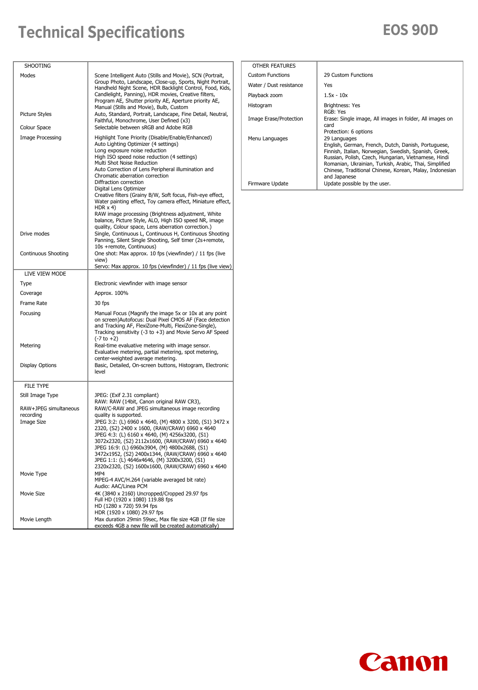## **Technical Specifications EOS 90D**

| <b>SHOOTING</b>                                         |                                                                                                                                                                                                                                                                                                                                                                                                                                                                                                                                                                                                                      |
|---------------------------------------------------------|----------------------------------------------------------------------------------------------------------------------------------------------------------------------------------------------------------------------------------------------------------------------------------------------------------------------------------------------------------------------------------------------------------------------------------------------------------------------------------------------------------------------------------------------------------------------------------------------------------------------|
| Modes                                                   | Scene Intelligent Auto (Stills and Movie), SCN (Portrait,<br>Group Photo, Landscape, Close-up, Sports, Night Portrait,<br>Handheld Night Scene, HDR Backlight Control, Food, Kids,<br>Candlelight, Panning), HDR movies, Creative filters,<br>Program AE, Shutter priority AE, Aperture priority AE,<br>Manual (Stills and Movie), Bulb, Custom                                                                                                                                                                                                                                                                      |
| Picture Styles                                          | Auto, Standard, Portrait, Landscape, Fine Detail, Neutral,<br>Faithful, Monochrome, User Defined (x3)                                                                                                                                                                                                                                                                                                                                                                                                                                                                                                                |
| Colour Space                                            | Selectable between sRGB and Adobe RGB                                                                                                                                                                                                                                                                                                                                                                                                                                                                                                                                                                                |
| <b>Image Processing</b>                                 | Highlight Tone Priority (Disable/Enable/Enhanced)<br>Auto Lighting Optimizer (4 settings)<br>Long exposure noise reduction<br>High ISO speed noise reduction (4 settings)<br>Multi Shot Noise Reduction<br>Auto Correction of Lens Peripheral illumination and<br>Chromatic aberration correction<br>Diffraction correction<br>Digital Lens Optimizer<br>Creative filters (Grainy B/W, Soft focus, Fish-eye effect,<br>Water painting effect, Toy camera effect, Miniature effect,<br>HDR $\times$ 4)<br>RAW image processing (Brightness adjustment, White<br>balance, Picture Style, ALO, High ISO speed NR, image |
| Drive modes                                             | quality, Colour space, Lens aberration correction.)<br>Single, Continuous L, Continuous H, Continuous Shooting<br>Panning, Silent Single Shooting, Self timer (2s+remote,<br>10s +remote, Continuous)                                                                                                                                                                                                                                                                                                                                                                                                                |
| Continuous Shooting                                     | One shot: Max approx. 10 fps (viewfinder) / 11 fps (live<br>view)<br>Servo: Max approx. 10 fps (viewfinder) / 11 fps (live view)                                                                                                                                                                                                                                                                                                                                                                                                                                                                                     |
| LIVE VIEW MODE                                          |                                                                                                                                                                                                                                                                                                                                                                                                                                                                                                                                                                                                                      |
| Type                                                    | Electronic viewfinder with image sensor                                                                                                                                                                                                                                                                                                                                                                                                                                                                                                                                                                              |
| Coverage                                                | Approx. 100%                                                                                                                                                                                                                                                                                                                                                                                                                                                                                                                                                                                                         |
| Frame Rate                                              | 30 fps                                                                                                                                                                                                                                                                                                                                                                                                                                                                                                                                                                                                               |
| Focusing<br>Metering<br>Display Options                 | Manual Focus (Magnify the image 5x or 10x at any point<br>on screen)Autofocus: Dual Pixel CMOS AF (Face detection<br>and Tracking AF, FlexiZone-Multi, FlexiZone-Single),<br>Tracking sensitivity $(-3 \text{ to } +3)$ and Movie Servo AF Speed<br>$(-7 to +2)$<br>Real-time evaluative metering with image sensor.<br>Evaluative metering, partial metering, spot metering,<br>center-weighted average metering.<br>Basic, Detailed, On-screen buttons, Histogram, Electronic                                                                                                                                      |
|                                                         | level                                                                                                                                                                                                                                                                                                                                                                                                                                                                                                                                                                                                                |
| <b>FILE TYPE</b>                                        |                                                                                                                                                                                                                                                                                                                                                                                                                                                                                                                                                                                                                      |
| Still Image Type                                        | JPEG: (Exif 2.31 compliant)<br>RAW: RAW (14bit, Canon original RAW CR3),                                                                                                                                                                                                                                                                                                                                                                                                                                                                                                                                             |
| RAW+JPEG simultaneous<br>recordina<br><b>Image Size</b> | RAW/C-RAW and JPEG simultaneous image recording<br>quality is supported.<br>JPEG 3:2: (L) 6960 x 4640, (M) 4800 x 3200, (S1) 3472 x<br>2320, (S2) 2400 x 1600, (RAW/CRAW) 6960 x 4640<br>JPEG 4:3: (L) 6160 x 4640, (M) 4256x3200, (S1)<br>3072x2320, (S2) 2112x1600, (RAW/CRAW) 6960 x 4640<br>JPEG 16:9: (L) 6960x3904, (M) 4800x2688, (S1)<br>3472x1952, (S2) 2400x1344, (RAW/CRAW) 6960 x 4640<br>JPEG 1:1: (L) 4646x4646, (M) 3200x3200, (S1)<br>2320x2320, (S2) 1600x1600, (RAW/CRAW) 6960 x 4640                                                                                                              |
| Movie Type                                              | MP4<br>MPEG-4 AVC/H.264 (variable averaged bit rate)<br>Audio: AAC/Linea PCM                                                                                                                                                                                                                                                                                                                                                                                                                                                                                                                                         |
| Movie Size                                              | 4K (3840 x 2160) Uncropped/Cropped 29.97 fps<br>Full HD (1920 x 1080) 119.88 fps<br>HD (1280 x 720) 59.94 fps                                                                                                                                                                                                                                                                                                                                                                                                                                                                                                        |
| Movie Length                                            | HDR (1920 x 1080) 29.97 fps<br>Max duration 29min 59sec, Max file size 4GB (If file size<br>exceeds 4GB a new file will be created automatically)                                                                                                                                                                                                                                                                                                                                                                                                                                                                    |

| OTHER FEATURES          |                                                                                                                                                                                                                                                                                                                           |
|-------------------------|---------------------------------------------------------------------------------------------------------------------------------------------------------------------------------------------------------------------------------------------------------------------------------------------------------------------------|
| <b>Custom Functions</b> | 29 Custom Functions                                                                                                                                                                                                                                                                                                       |
| Water / Dust resistance | Yes                                                                                                                                                                                                                                                                                                                       |
| Playback zoom           | $1.5x - 10x$                                                                                                                                                                                                                                                                                                              |
| Histogram               | Brightness: Yes<br>RGB: Yes                                                                                                                                                                                                                                                                                               |
| Image Erase/Protection  | Erase: Single image, All images in folder, All images on<br>card<br>Protection: 6 options                                                                                                                                                                                                                                 |
| Menu Languages          | 29 Languages<br>English, German, French, Dutch, Danish, Portuguese,<br>Finnish, Italian, Norwegian, Swedish, Spanish, Greek,<br>Russian, Polish, Czech, Hungarian, Vietnamese, Hindi<br>Romanian, Ukrainian, Turkish, Arabic, Thai, Simplified<br>Chinese, Traditional Chinese, Korean, Malay, Indonesian<br>and Japanese |
| Firmware Update         | Update possible by the user.                                                                                                                                                                                                                                                                                              |
|                         |                                                                                                                                                                                                                                                                                                                           |